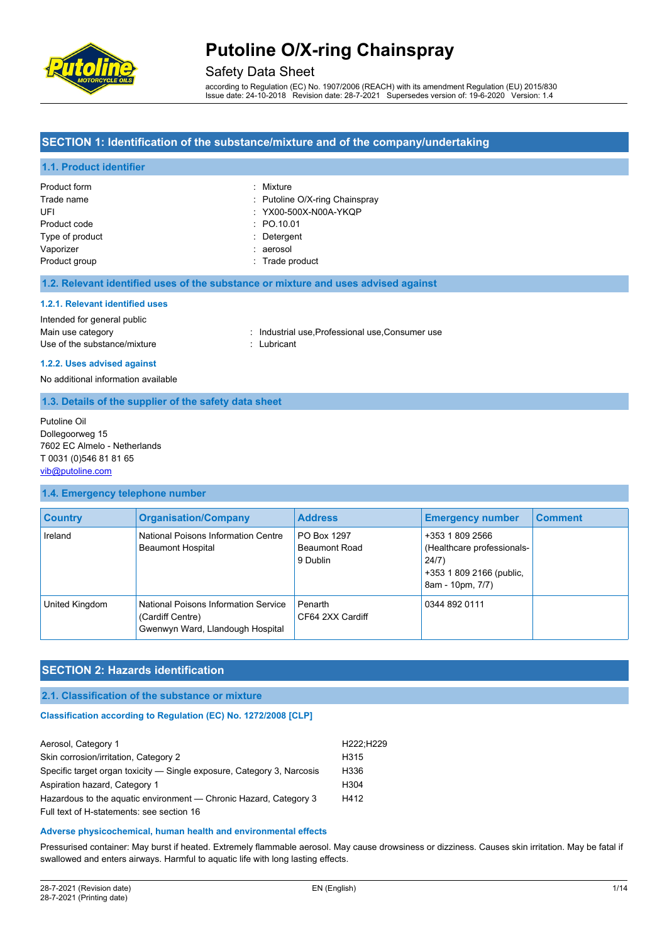

### Safety Data Sheet

according to Regulation (EC) No. 1907/2006 (REACH) with its amendment Regulation (EU) 2015/830 Issue date: 24-10-2018 Revision date: 28-7-2021 Supersedes version of: 19-6-2020 Version: 1.4

### **SECTION 1: Identification of the substance/mixture and of the company/undertaking**

#### **1.1. Product identifier**

| Product form    | : Mixture                      |
|-----------------|--------------------------------|
| Trade name      | : Putoline O/X-ring Chainspray |
| UFI             | : YX00-500X-N00A-YKQP          |
| Product code    | : PO.10.01                     |
| Type of product | : Detergent                    |
| Vaporizer       | : aerosol                      |
| Product group   | : Trade product                |

#### **1.2. Relevant identified uses of the substance or mixture and uses advised against**

#### **1.2.1. Relevant identified uses**

### Intended for general public

Use of the substance/mixture in the substance in the set of the substance in the substantial control of the substantial control of the substantial control of the substantial control of the substantial control of the substa

- Main use category **industrial use, Professional use, Consumer use** in Main use category
- **1.2.2. Uses advised against**

#### No additional information available

#### **1.3. Details of the supplier of the safety data sheet**

Putoline Oil Dollegoorweg 15 7602 EC Almelo - Netherlands T 0031 (0)546 81 81 65 [vib@putoline.com](mailto:vib@putoline.com)

#### **1.4. Emergency telephone number**

| <b>Country</b> | <b>Organisation/Company</b>                                                                  | <b>Address</b>                                  | <b>Emergency number</b>                                                                                | <b>Comment</b> |
|----------------|----------------------------------------------------------------------------------------------|-------------------------------------------------|--------------------------------------------------------------------------------------------------------|----------------|
| Ireland        | National Poisons Information Centre<br><b>Beaumont Hospital</b>                              | PO Box 1297<br><b>Beaumont Road</b><br>9 Dublin | +353 1 809 2566<br>(Healthcare professionals-<br>24/7)<br>+353 1 809 2166 (public,<br>8am - 10pm, 7/7) |                |
| United Kingdom | National Poisons Information Service<br>(Cardiff Centre)<br>Gwenwyn Ward, Llandough Hospital | Penarth<br>CF64 2XX Cardiff                     | 0344 892 0111                                                                                          |                |

### **SECTION 2: Hazards identification**

#### **2.1. Classification of the substance or mixture**

#### **Classification according to Regulation (EC) No. 1272/2008 [CLP]**

| Aerosol, Category 1                                                    | H222:H229        |
|------------------------------------------------------------------------|------------------|
| Skin corrosion/irritation, Category 2                                  | H <sub>315</sub> |
| Specific target organ toxicity — Single exposure, Category 3, Narcosis | H <sub>336</sub> |
| Aspiration hazard, Category 1                                          | H <sub>304</sub> |
| Hazardous to the aquatic environment — Chronic Hazard, Category 3      | H412             |
| Full text of H-statements: see section 16                              |                  |

#### **Adverse physicochemical, human health and environmental effects**

Pressurised container: May burst if heated. Extremely flammable aerosol. May cause drowsiness or dizziness. Causes skin irritation. May be fatal if swallowed and enters airways. Harmful to aquatic life with long lasting effects.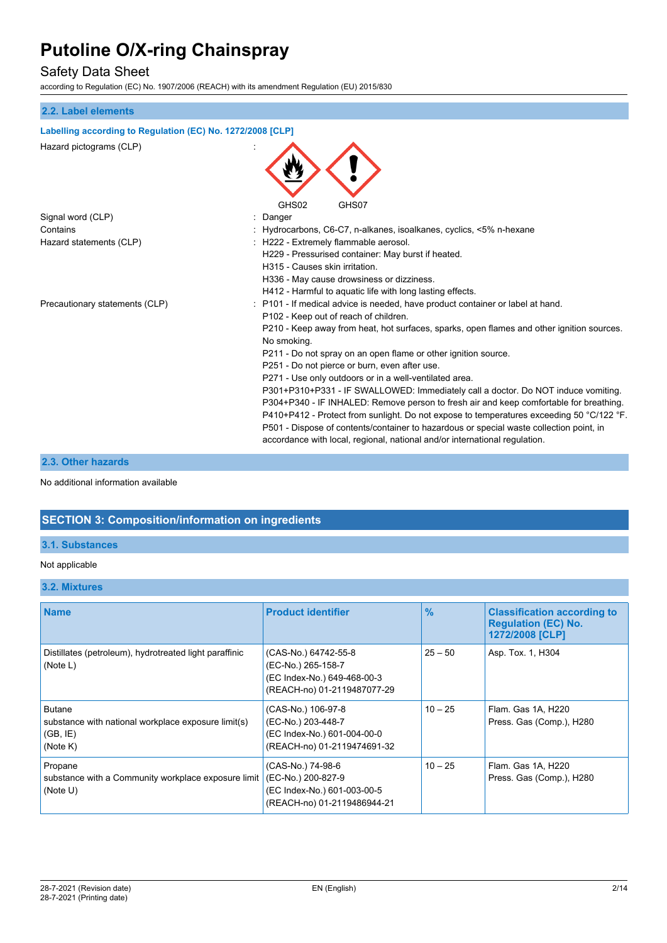## Safety Data Sheet

according to Regulation (EC) No. 1907/2006 (REACH) with its amendment Regulation (EU) 2015/830

## **2.2. Label elements Labelling according to Regulation (EC) No. 1272/2008 [CLP]** Hazard pictograms (CLP) : GHS02 GHS07 Signal word (CLP) **in the set of the Signal word (CLP)** and the set of the set of the Signal and the Signal and S Contains : Hydrocarbons, C6-C7, n-alkanes, isoalkanes, cyclics, <5% n-hexane Hazard statements (CLP)  $\qquad \qquad$  : H222 - Extremely flammable aerosol. H229 - Pressurised container: May burst if heated. H315 - Causes skin irritation. H336 - May cause drowsiness or dizziness. H412 - Harmful to aquatic life with long lasting effects. Precautionary statements (CLP) : P101 - If medical advice is needed, have product container or label at hand. P102 - Keep out of reach of children. P210 - Keep away from heat, hot surfaces, sparks, open flames and other ignition sources. No smoking. P211 - Do not spray on an open flame or other ignition source. P251 - Do not pierce or burn, even after use. P271 - Use only outdoors or in a well-ventilated area. P301+P310+P331 - IF SWALLOWED: Immediately call a doctor. Do NOT induce vomiting. P304+P340 - IF INHALED: Remove person to fresh air and keep comfortable for breathing. P410+P412 - Protect from sunlight. Do not expose to temperatures exceeding 50 °C/122 °F. P501 - Dispose of contents/container to hazardous or special waste collection point, in accordance with local, regional, national and/or international regulation.

### **2.3. Other hazards**

No additional information available

## **SECTION 3: Composition/information on ingredients**

#### **3.1. Substances**

#### Not applicable

#### **3.2. Mixtures**

| <b>Name</b>                                                                                  | <b>Product identifier</b>                                                                                | $\frac{9}{6}$ | <b>Classification according to</b><br><b>Regulation (EC) No.</b><br>1272/2008 [CLP] |
|----------------------------------------------------------------------------------------------|----------------------------------------------------------------------------------------------------------|---------------|-------------------------------------------------------------------------------------|
| Distillates (petroleum), hydrotreated light paraffinic<br>(Note L)                           | (CAS-No.) 64742-55-8<br>(EC-No.) 265-158-7<br>(EC Index-No.) 649-468-00-3<br>(REACH-no) 01-2119487077-29 | $25 - 50$     | Asp. Tox. 1, H304                                                                   |
| <b>Butane</b><br>substance with national workplace exposure limit(s)<br>(GB, IE)<br>(Note K) | (CAS-No.) 106-97-8<br>(EC-No.) 203-448-7<br>(EC Index-No.) 601-004-00-0<br>(REACH-no) 01-2119474691-32   | $10 - 25$     | Flam. Gas 1A, H220<br>Press. Gas (Comp.), H280                                      |
| Propane<br>substance with a Community workplace exposure limit<br>(Note U)                   | (CAS-No.) 74-98-6<br>(EC-No.) 200-827-9<br>(EC Index-No.) 601-003-00-5<br>(REACH-no) 01-2119486944-21    | $10 - 25$     | Flam. Gas 1A, H220<br>Press. Gas (Comp.), H280                                      |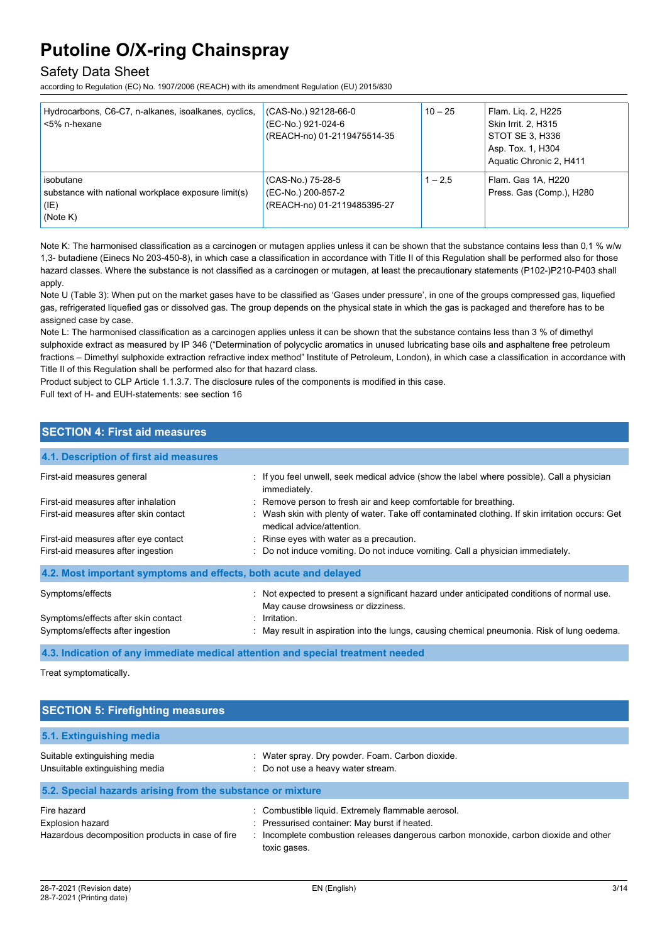## Safety Data Sheet

according to Regulation (EC) No. 1907/2006 (REACH) with its amendment Regulation (EU) 2015/830

| Hydrocarbons, C6-C7, n-alkanes, isoalkanes, cyclics,<br><5% n-hexane                 | (CAS-No.) 92128-66-0<br>(EC-No.) 921-024-6<br>(REACH-no) 01-2119475514-35 | $10 - 25$ | Flam. Lig. 2, H225<br>Skin Irrit. 2, H315<br>STOT SE 3, H336<br>Asp. Tox. 1, H304<br>Aquatic Chronic 2, H411 |
|--------------------------------------------------------------------------------------|---------------------------------------------------------------------------|-----------|--------------------------------------------------------------------------------------------------------------|
| isobutane<br>substance with national workplace exposure limit(s)<br>(IE)<br>(Note K) | (CAS-No.) 75-28-5<br>(EC-No.) 200-857-2<br>(REACH-no) 01-2119485395-27    | $1 - 2.5$ | Flam. Gas 1A, H220<br>Press. Gas (Comp.), H280                                                               |

Note K: The harmonised classification as a carcinogen or mutagen applies unless it can be shown that the substance contains less than 0,1 % w/w 1,3- butadiene (Einecs No 203-450-8), in which case a classification in accordance with Title II of this Regulation shall be performed also for those hazard classes. Where the substance is not classified as a carcinogen or mutagen, at least the precautionary statements (P102-)P210-P403 shall apply.

Note U (Table 3): When put on the market gases have to be classified as 'Gases under pressure', in one of the groups compressed gas, liquefied gas, refrigerated liquefied gas or dissolved gas. The group depends on the physical state in which the gas is packaged and therefore has to be assigned case by case.

Note L: The harmonised classification as a carcinogen applies unless it can be shown that the substance contains less than 3 % of dimethyl sulphoxide extract as measured by IP 346 ("Determination of polycyclic aromatics in unused lubricating base oils and asphaltene free petroleum fractions – Dimethyl sulphoxide extraction refractive index method" Institute of Petroleum, London), in which case a classification in accordance with Title II of this Regulation shall be performed also for that hazard class.

Product subject to CLP Article 1.1.3.7. The disclosure rules of the components is modified in this case.

Full text of H- and EUH-statements: see section 16

### **SECTION 4: First aid measures**

## **4.1. Description of first aid measures** First-aid measures general **interpretatal interval in the interpretatal**: If you feel unwell, seek medical advice (show the label where possible). Call a physician immediately. First-aid measures after inhalation : Remove person to fresh air and keep comfortable for breathing. First-aid measures after skin contact : Wash skin with plenty of water. Take off contaminated clothing. If skin irritation occurs: Get medical advice/attention. First-aid measures after eve contact **in the set of the set of the Section** in Rinse eyes with water as a precaution. First-aid measures after ingestion : Do not induce vomiting. Do not induce vomiting. Call a physician immediately. **4.2. Most important symptoms and effects, both acute and delayed** Symptoms/effects **included to the symptoms/effects** included to present a significant hazard under anticipated conditions of normal use. May cause drowsiness or dizziness. Symptoms/effects after skin contact : Irritation. Symptoms/effects after ingestion : May result in aspiration into the lungs, causing chemical pneumonia. Risk of lung oedema.

**4.3. Indication of any immediate medical attention and special treatment needed**

Treat symptomatically.

| <b>SECTION 5: Firefighting measures</b>                                                    |                                                                                                                                                                                                             |  |
|--------------------------------------------------------------------------------------------|-------------------------------------------------------------------------------------------------------------------------------------------------------------------------------------------------------------|--|
| 5.1. Extinguishing media                                                                   |                                                                                                                                                                                                             |  |
| Suitable extinguishing media<br>Unsuitable extinguishing media                             | Water spray. Dry powder. Foam. Carbon dioxide.<br>÷.<br>: Do not use a heavy water stream.                                                                                                                  |  |
| 5.2. Special hazards arising from the substance or mixture                                 |                                                                                                                                                                                                             |  |
| Fire hazard<br><b>Explosion hazard</b><br>Hazardous decomposition products in case of fire | : Combustible liquid. Extremely flammable aerosol.<br>: Pressurised container: May burst if heated.<br>: Incomplete combustion releases dangerous carbon monoxide, carbon dioxide and other<br>toxic gases. |  |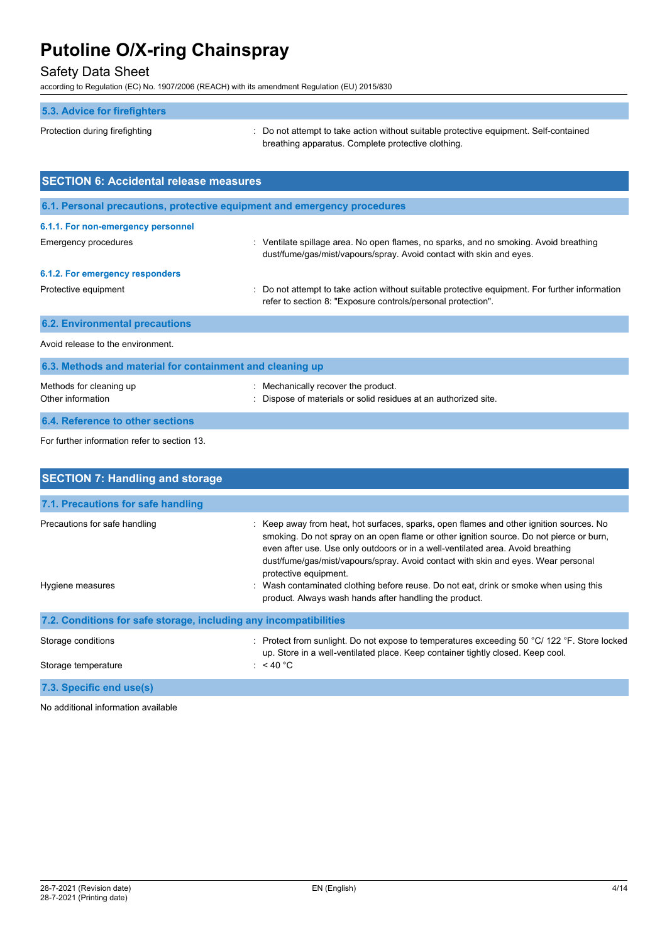## Safety Data Sheet

according to Regulation (EC) No. 1907/2006 (REACH) with its amendment Regulation (EU) 2015/830

| 5.3. Advice for firefighters                                              |                                                                                                                                                                |
|---------------------------------------------------------------------------|----------------------------------------------------------------------------------------------------------------------------------------------------------------|
| Protection during firefighting                                            | : Do not attempt to take action without suitable protective equipment. Self-contained<br>breathing apparatus. Complete protective clothing.                    |
| <b>SECTION 6: Accidental release measures</b>                             |                                                                                                                                                                |
| 6.1. Personal precautions, protective equipment and emergency procedures  |                                                                                                                                                                |
| 6.1.1. For non-emergency personnel                                        |                                                                                                                                                                |
| <b>Emergency procedures</b>                                               | : Ventilate spillage area. No open flames, no sparks, and no smoking. Avoid breathing<br>dust/fume/gas/mist/vapours/spray. Avoid contact with skin and eyes.   |
| 6.1.2. For emergency responders                                           |                                                                                                                                                                |
| Protective equipment                                                      | : Do not attempt to take action without suitable protective equipment. For further information<br>refer to section 8: "Exposure controls/personal protection". |
| <b>6.2. Environmental precautions</b>                                     |                                                                                                                                                                |
| Avoid release to the environment.                                         |                                                                                                                                                                |
| 6.3. Methods and material for containment and cleaning up                 |                                                                                                                                                                |
| Methods for cleaning up<br>Other information                              | : Mechanically recover the product.<br>Dispose of materials or solid residues at an authorized site.                                                           |
| 6.4. Reference to other sections                                          |                                                                                                                                                                |
| $\Gamma$ and function in famous with an index of a second second $\Omega$ |                                                                                                                                                                |

For further information refer to section 13.

| <b>SECTION 7: Handling and storage</b>                            |                                                                                                                                                                                                                                                                                                                                                                                                                                                                                                                                        |  |
|-------------------------------------------------------------------|----------------------------------------------------------------------------------------------------------------------------------------------------------------------------------------------------------------------------------------------------------------------------------------------------------------------------------------------------------------------------------------------------------------------------------------------------------------------------------------------------------------------------------------|--|
| 7.1. Precautions for safe handling                                |                                                                                                                                                                                                                                                                                                                                                                                                                                                                                                                                        |  |
| Precautions for safe handling<br>Hygiene measures                 | : Keep away from heat, hot surfaces, sparks, open flames and other ignition sources. No<br>smoking. Do not spray on an open flame or other ignition source. Do not pierce or burn,<br>even after use. Use only outdoors or in a well-ventilated area. Avoid breathing<br>dust/fume/gas/mist/vapours/spray. Avoid contact with skin and eyes. Wear personal<br>protective equipment.<br>: Wash contaminated clothing before reuse. Do not eat, drink or smoke when using this<br>product. Always wash hands after handling the product. |  |
| 7.2. Conditions for safe storage, including any incompatibilities |                                                                                                                                                                                                                                                                                                                                                                                                                                                                                                                                        |  |
| Storage conditions<br>Storage temperature                         | : Protect from sunlight. Do not expose to temperatures exceeding 50 °C/ 122 °F. Store locked<br>up. Store in a well-ventilated place. Keep container tightly closed. Keep cool.<br>: $<$ 40 °C                                                                                                                                                                                                                                                                                                                                         |  |
| 7.3. Specific end use(s)                                          |                                                                                                                                                                                                                                                                                                                                                                                                                                                                                                                                        |  |
| No additional information available                               |                                                                                                                                                                                                                                                                                                                                                                                                                                                                                                                                        |  |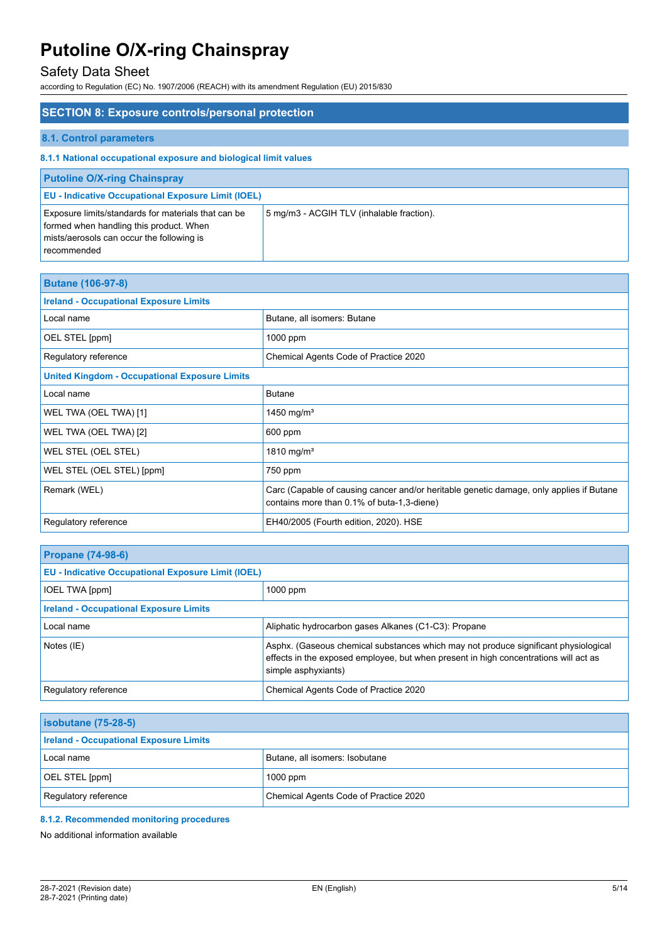## Safety Data Sheet

according to Regulation (EC) No. 1907/2006 (REACH) with its amendment Regulation (EU) 2015/830

| <b>SECTION 8: Exposure controls/personal protection</b>                                                                                                    |                                           |  |
|------------------------------------------------------------------------------------------------------------------------------------------------------------|-------------------------------------------|--|
| 8.1. Control parameters                                                                                                                                    |                                           |  |
| 8.1.1 National occupational exposure and biological limit values                                                                                           |                                           |  |
| <b>Putoline O/X-ring Chainspray</b>                                                                                                                        |                                           |  |
| <b>EU - Indicative Occupational Exposure Limit (IOEL)</b>                                                                                                  |                                           |  |
| Exposure limits/standards for materials that can be<br>formed when handling this product. When<br>mists/aerosols can occur the following is<br>recommended | 5 mg/m3 - ACGIH TLV (inhalable fraction). |  |

| <b>Butane (106-97-8)</b>                             |                                                                                                                                       |  |
|------------------------------------------------------|---------------------------------------------------------------------------------------------------------------------------------------|--|
| <b>Ireland - Occupational Exposure Limits</b>        |                                                                                                                                       |  |
| Local name                                           | Butane, all isomers: Butane                                                                                                           |  |
| OEL STEL [ppm]                                       | 1000 ppm                                                                                                                              |  |
| Regulatory reference                                 | Chemical Agents Code of Practice 2020                                                                                                 |  |
| <b>United Kingdom - Occupational Exposure Limits</b> |                                                                                                                                       |  |
| Local name                                           | <b>Butane</b>                                                                                                                         |  |
| WEL TWA (OEL TWA) [1]                                | 1450 mg/m <sup>3</sup>                                                                                                                |  |
| WEL TWA (OEL TWA) [2]                                | 600 ppm                                                                                                                               |  |
| WEL STEL (OEL STEL)                                  | 1810 mg/m <sup>3</sup>                                                                                                                |  |
| WEL STEL (OEL STEL) [ppm]                            | 750 ppm                                                                                                                               |  |
| Remark (WEL)                                         | Carc (Capable of causing cancer and/or heritable genetic damage, only applies if Butane<br>contains more than 0.1% of buta-1,3-diene) |  |
| Regulatory reference                                 | EH40/2005 (Fourth edition, 2020). HSE                                                                                                 |  |

| <b>Propane (74-98-6)</b>                                  |                                                                                                                                                                                                    |
|-----------------------------------------------------------|----------------------------------------------------------------------------------------------------------------------------------------------------------------------------------------------------|
| <b>EU - Indicative Occupational Exposure Limit (IOEL)</b> |                                                                                                                                                                                                    |
| <b>IOEL TWA [ppm]</b>                                     | $1000$ ppm                                                                                                                                                                                         |
| <b>Ireland - Occupational Exposure Limits</b>             |                                                                                                                                                                                                    |
| Local name                                                | Aliphatic hydrocarbon gases Alkanes (C1-C3): Propane                                                                                                                                               |
| Notes (IE)                                                | Asphx. (Gaseous chemical substances which may not produce significant physiological<br>effects in the exposed employee, but when present in high concentrations will act as<br>simple asphyxiants) |
| Regulatory reference                                      | Chemical Agents Code of Practice 2020                                                                                                                                                              |

| $\vert$ isobutane (75-28-5)                   |                                       |
|-----------------------------------------------|---------------------------------------|
| <b>Ireland - Occupational Exposure Limits</b> |                                       |
| Local name                                    | Butane, all isomers: Isobutane        |
| <b>OEL STEL [ppm]</b>                         | $1000$ ppm                            |
| Regulatory reference                          | Chemical Agents Code of Practice 2020 |

### **8.1.2. Recommended monitoring procedures**

No additional information available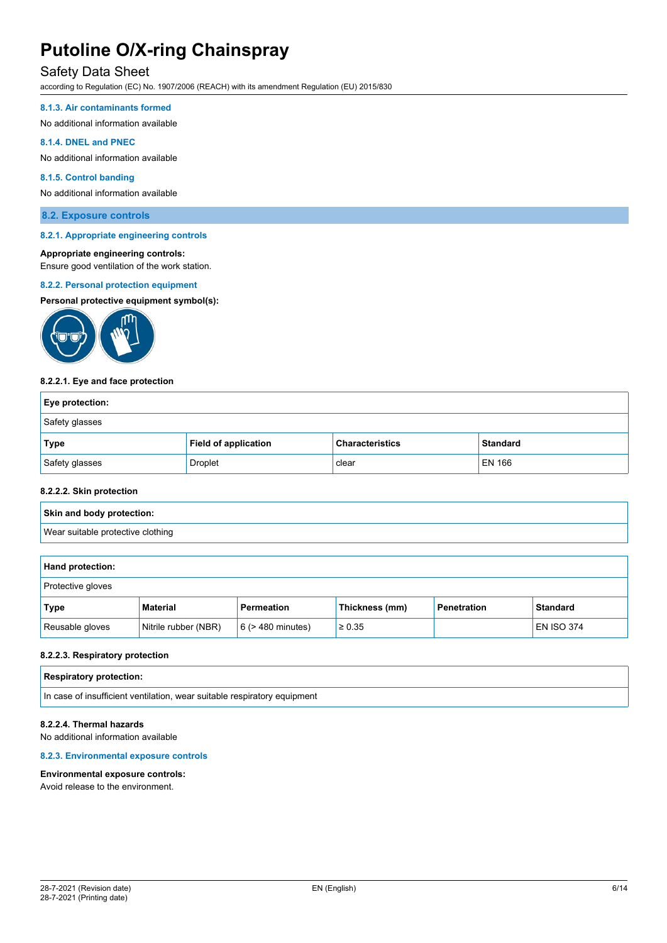### Safety Data Sheet

according to Regulation (EC) No. 1907/2006 (REACH) with its amendment Regulation (EU) 2015/830

#### **8.1.3. Air contaminants formed**

No additional information available

#### **8.1.4. DNEL and PNEC**

No additional information available

#### **8.1.5. Control banding**

No additional information available

#### **8.2. Exposure controls**

#### **8.2.1. Appropriate engineering controls**

#### **Appropriate engineering controls:**

Ensure good ventilation of the work station.

#### **8.2.2. Personal protection equipment**

#### **Personal protective equipment symbol(s):**



#### **8.2.2.1. Eye and face protection**

| <b>Eye protection:</b> |                             |                        |                 |
|------------------------|-----------------------------|------------------------|-----------------|
| Safety glasses         |                             |                        |                 |
| Type                   | <b>Field of application</b> | <b>Characteristics</b> | <b>Standard</b> |
| Safety glasses         | <b>Droplet</b>              | clear                  | EN 166          |

#### **8.2.2.2. Skin protection**

# **Skin and body protection:**

Wear suitable protective clothing

| Hand protection:  |                      |                        |                |             |                   |
|-------------------|----------------------|------------------------|----------------|-------------|-------------------|
| Protective gloves |                      |                        |                |             |                   |
| Type              | <b>Material</b>      | <b>Permeation</b>      | Thickness (mm) | Penetration | <b>Standard</b>   |
| Reusable gloves   | Nitrile rubber (NBR) | $6$ ( $>$ 480 minutes) | $\geq 0.35$    |             | <b>EN ISO 374</b> |

#### **8.2.2.3. Respiratory protection**

| <b>Respiratory protection:</b>                                           |  |
|--------------------------------------------------------------------------|--|
| In case of insufficient ventilation, wear suitable respiratory equipment |  |

#### **8.2.2.4. Thermal hazards**

No additional information available

#### **8.2.3. Environmental exposure controls**

#### **Environmental exposure controls:**

Avoid release to the environment.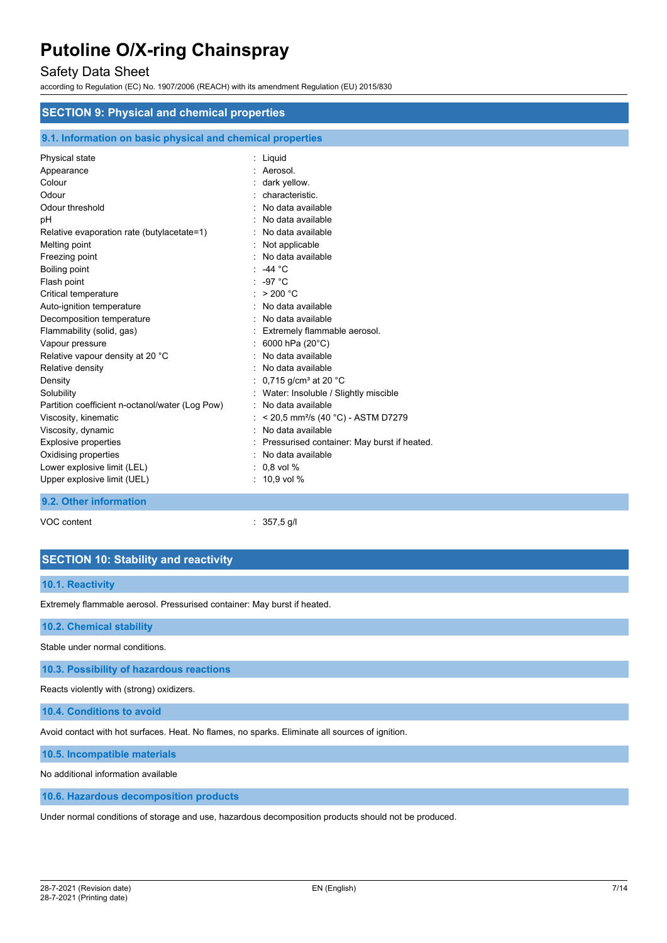### Safety Data Sheet

according to Regulation (EC) No. 1907/2006 (REACH) with its amendment Regulation (EU) 2015/830

| <b>SECTION 9: Physical and chemical properties</b>                                                                                                                                                                                                                                                                                                                                                                                                                                                                                                                                                                          |                                                                                                                                                                                                                                                                                                                                                                                                                                                                                                                                                                                                                                               |
|-----------------------------------------------------------------------------------------------------------------------------------------------------------------------------------------------------------------------------------------------------------------------------------------------------------------------------------------------------------------------------------------------------------------------------------------------------------------------------------------------------------------------------------------------------------------------------------------------------------------------------|-----------------------------------------------------------------------------------------------------------------------------------------------------------------------------------------------------------------------------------------------------------------------------------------------------------------------------------------------------------------------------------------------------------------------------------------------------------------------------------------------------------------------------------------------------------------------------------------------------------------------------------------------|
| 9.1. Information on basic physical and chemical properties                                                                                                                                                                                                                                                                                                                                                                                                                                                                                                                                                                  |                                                                                                                                                                                                                                                                                                                                                                                                                                                                                                                                                                                                                                               |
| Physical state<br>Appearance<br>Colour<br>Odour<br>Odour threshold<br>pH<br>Relative evaporation rate (butylacetate=1)<br>Melting point<br>Freezing point<br>Boiling point<br>Flash point<br>Critical temperature<br>Auto-ignition temperature<br>Decomposition temperature<br>Flammability (solid, gas)<br>Vapour pressure<br>Relative vapour density at 20 °C<br>Relative density<br>Density<br>Solubility<br>Partition coefficient n-octanol/water (Log Pow)<br>Viscosity, kinematic<br>Viscosity, dynamic<br>Explosive properties<br>Oxidising properties<br>Lower explosive limit (LEL)<br>Upper explosive limit (UEL) | : Liquid<br>: Aerosol.<br>dark yellow.<br>characteristic.<br>No data available<br>No data available<br>No data available<br>Not applicable<br>No data available<br>: $-44 °C$<br>-97 $°C$<br>: $> 200 °C$<br>No data available<br>: No data available<br>Extremely flammable aerosol.<br>6000 hPa (20°C)<br>No data available<br>No data available<br>0,715 g/cm <sup>3</sup> at 20 $^{\circ}$ C<br>Water: Insoluble / Slightly miscible<br>No data available<br>< 20,5 mm <sup>2</sup> /s (40 °C) - ASTM D7279<br>No data available<br>Pressurised container: May burst if heated.<br>: No data available<br>$: 0.8$ vol %<br>$: 10.9$ vol % |
| 9.2. Other information                                                                                                                                                                                                                                                                                                                                                                                                                                                                                                                                                                                                      |                                                                                                                                                                                                                                                                                                                                                                                                                                                                                                                                                                                                                                               |

VOC content : 357,5 g/l

### **SECTION 10: Stability and reactivity**

#### **10.1. Reactivity**

Extremely flammable aerosol. Pressurised container: May burst if heated.

#### **10.2. Chemical stability**

Stable under normal conditions.

**10.3. Possibility of hazardous reactions**

Reacts violently with (strong) oxidizers.

**10.4. Conditions to avoid**

Avoid contact with hot surfaces. Heat. No flames, no sparks. Eliminate all sources of ignition.

**10.5. Incompatible materials**

No additional information available

**10.6. Hazardous decomposition products**

Under normal conditions of storage and use, hazardous decomposition products should not be produced.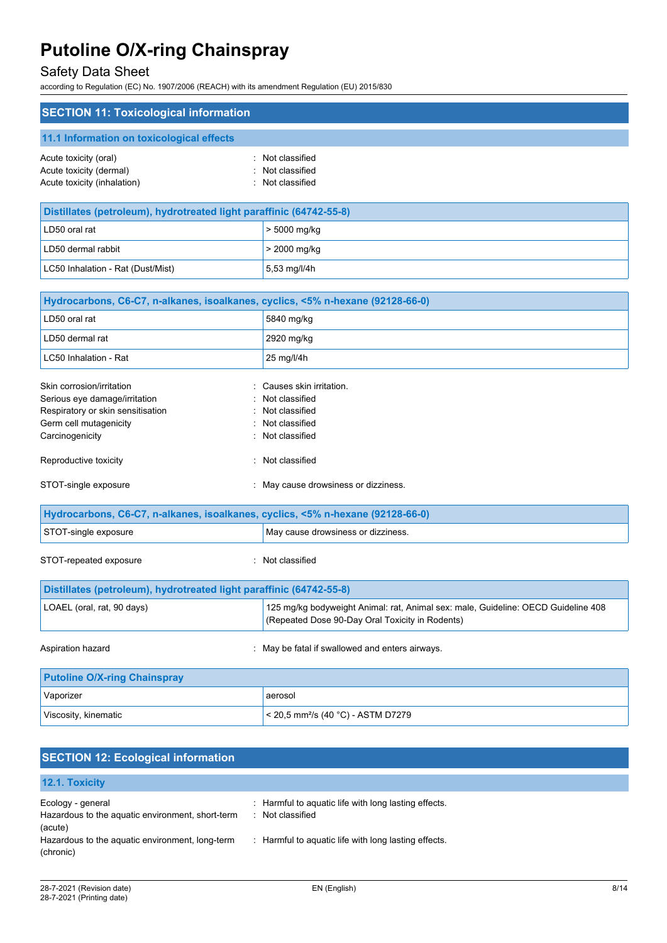## Safety Data Sheet

according to Regulation (EC) No. 1907/2006 (REACH) with its amendment Regulation (EU) 2015/830

| <b>SECTION 11: Toxicological information</b>                                                                                                 |                                                                                                                                      |
|----------------------------------------------------------------------------------------------------------------------------------------------|--------------------------------------------------------------------------------------------------------------------------------------|
| 11.1 Information on toxicological effects                                                                                                    |                                                                                                                                      |
| Acute toxicity (oral)<br>Acute toxicity (dermal)<br>Acute toxicity (inhalation)                                                              | Not classified<br>Not classified<br>Not classified                                                                                   |
| Distillates (petroleum), hydrotreated light paraffinic (64742-55-8)                                                                          |                                                                                                                                      |
| LD50 oral rat                                                                                                                                | > 5000 mg/kg                                                                                                                         |
| LD50 dermal rabbit                                                                                                                           | > 2000 mg/kg                                                                                                                         |
| LC50 Inhalation - Rat (Dust/Mist)                                                                                                            | 5,53 mg/l/4h                                                                                                                         |
| Hydrocarbons, C6-C7, n-alkanes, isoalkanes, cyclics, <5% n-hexane (92128-66-0)                                                               |                                                                                                                                      |
| LD50 oral rat                                                                                                                                | 5840 mg/kg                                                                                                                           |
| LD50 dermal rat                                                                                                                              | 2920 mg/kg                                                                                                                           |
| LC50 Inhalation - Rat                                                                                                                        | 25 mg/l/4h                                                                                                                           |
| Skin corrosion/irritation<br>Serious eye damage/irritation<br>Respiratory or skin sensitisation<br>Germ cell mutagenicity<br>Carcinogenicity | Causes skin irritation.<br>Not classified<br>Not classified<br>Not classified<br>Not classified                                      |
| Reproductive toxicity                                                                                                                        | Not classified                                                                                                                       |
| STOT-single exposure                                                                                                                         | : May cause drowsiness or dizziness.                                                                                                 |
| Hydrocarbons, C6-C7, n-alkanes, isoalkanes, cyclics, <5% n-hexane (92128-66-0)                                                               |                                                                                                                                      |
| STOT-single exposure                                                                                                                         | May cause drowsiness or dizziness.                                                                                                   |
| STOT-repeated exposure                                                                                                                       | Not classified                                                                                                                       |
| Distillates (petroleum), hydrotreated light paraffinic (64742-55-8)                                                                          |                                                                                                                                      |
| LOAEL (oral, rat, 90 days)                                                                                                                   | 125 mg/kg bodyweight Animal: rat, Animal sex: male, Guideline: OECD Guideline 408<br>(Repeated Dose 90-Day Oral Toxicity in Rodents) |
| Aspiration hazard                                                                                                                            | May be fatal if swallowed and enters airways.                                                                                        |
| <b>Putoline O/X-ring Chainspray</b>                                                                                                          |                                                                                                                                      |
| Vaporizer                                                                                                                                    | aerosol                                                                                                                              |
| Viscosity, kinematic                                                                                                                         | < 20,5 mm <sup>2</sup> /s (40 °C) - ASTM D7279                                                                                       |
|                                                                                                                                              |                                                                                                                                      |

| <b>SECTION 12: Ecological information</b>                                        |                                                                          |
|----------------------------------------------------------------------------------|--------------------------------------------------------------------------|
| 12.1. Toxicity                                                                   |                                                                          |
| Ecology - general<br>Hazardous to the aquatic environment, short-term<br>(acute) | : Harmful to aquatic life with long lasting effects.<br>: Not classified |
| Hazardous to the aquatic environment, long-term<br>(chronic)                     | : Harmful to aquatic life with long lasting effects.                     |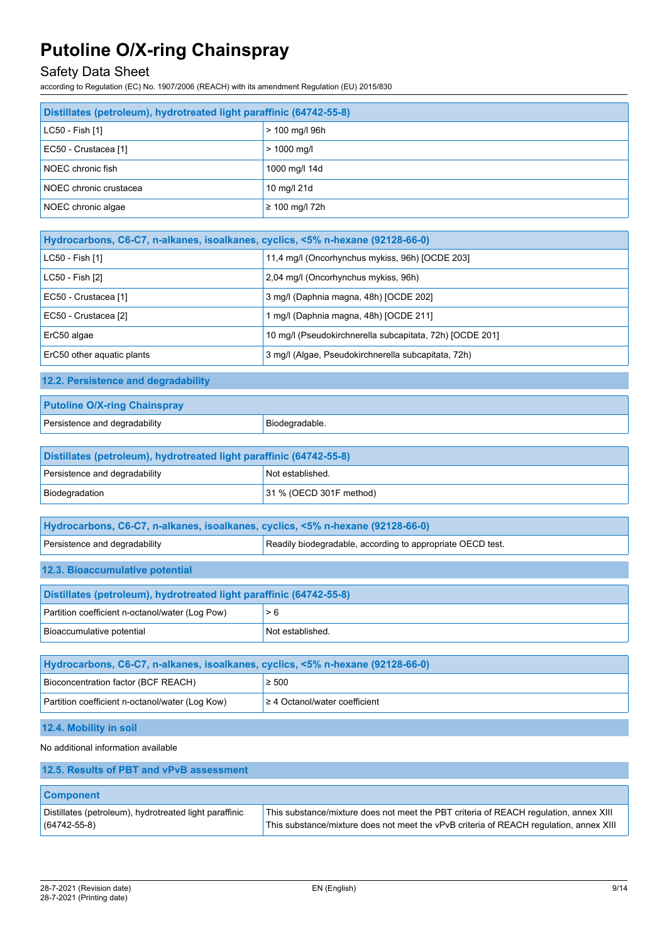## Safety Data Sheet

according to Regulation (EC) No. 1907/2006 (REACH) with its amendment Regulation (EU) 2015/830

| Distillates (petroleum), hydrotreated light paraffinic (64742-55-8) |                             |
|---------------------------------------------------------------------|-----------------------------|
| LC50 - Fish [1]                                                     | $> 100$ mg/l 96h            |
| EC50 - Crustacea [1]                                                | $> 1000$ mg/l               |
| NOEC chronic fish                                                   | 1000 mg/l 14d               |
| NOEC chronic crustacea                                              | 10 mg/l 21d                 |
| NOEC chronic algae                                                  | $\geq 100 \text{ mq/l}$ 72h |

| Hydrocarbons, C6-C7, n-alkanes, isoalkanes, cyclics, <5% n-hexane (92128-66-0) |                                                          |  |
|--------------------------------------------------------------------------------|----------------------------------------------------------|--|
| LC50 - Fish [1]                                                                | 11,4 mg/l (Oncorhynchus mykiss, 96h) [OCDE 203]          |  |
| LC50 - Fish [2]                                                                | 2,04 mg/l (Oncorhynchus mykiss, 96h)                     |  |
| EC50 - Crustacea [1]                                                           | 3 mg/l (Daphnia magna, 48h) [OCDE 202]                   |  |
| EC50 - Crustacea [2]                                                           | 1 mg/l (Daphnia magna, 48h) [OCDE 211]                   |  |
| ErC50 algae                                                                    | 10 mg/l (Pseudokirchnerella subcapitata, 72h) [OCDE 201] |  |
| ErC50 other aquatic plants                                                     | 3 mg/l (Algae, Pseudokirchnerella subcapitata, 72h)      |  |

**12.2. Persistence and degradability**

| <b>Putoline O/X-ring Chainspray</b> |                |
|-------------------------------------|----------------|
| Persistence and degradability       | Biodegradable. |

| Distillates (petroleum), hydrotreated light paraffinic (64742-55-8) |                         |  |
|---------------------------------------------------------------------|-------------------------|--|
| Persistence and degradability                                       | Not established.        |  |
| Biodegradation                                                      | 31 % (OECD 301F method) |  |

| Hydrocarbons, C6-C7, n-alkanes, isoalkanes, cyclics, <5% n-hexane (92128-66-0) |                                                            |  |
|--------------------------------------------------------------------------------|------------------------------------------------------------|--|
| Persistence and degradability                                                  | Readily biodegradable, according to appropriate OECD test. |  |

**12.3. Bioaccumulative potential**

| Distillates (petroleum), hydrotreated light paraffinic (64742-55-8) |                  |  |
|---------------------------------------------------------------------|------------------|--|
| Partition coefficient n-octanol/water (Log Pow)                     | > 6              |  |
| Bioaccumulative potential                                           | Not established. |  |

| Hydrocarbons, C6-C7, n-alkanes, isoalkanes, cyclics, <5% n-hexane (92128-66-0) |                                    |  |
|--------------------------------------------------------------------------------|------------------------------------|--|
| $\geq 500$<br>Bioconcentration factor (BCF REACH)                              |                                    |  |
| Partition coefficient n-octanol/water (Log Kow)                                | $\geq 4$ Octanol/water coefficient |  |

### **12.4. Mobility in soil**

No additional information available

| 12.5. Results of PBT and vPvB assessment                                     |                                                                                                                                                                                 |
|------------------------------------------------------------------------------|---------------------------------------------------------------------------------------------------------------------------------------------------------------------------------|
| <b>Component</b>                                                             |                                                                                                                                                                                 |
| Distillates (petroleum), hydrotreated light paraffinic<br>$(64742 - 55 - 8)$ | This substance/mixture does not meet the PBT criteria of REACH regulation, annex XIII<br>This substance/mixture does not meet the vPvB criteria of REACH regulation, annex XIII |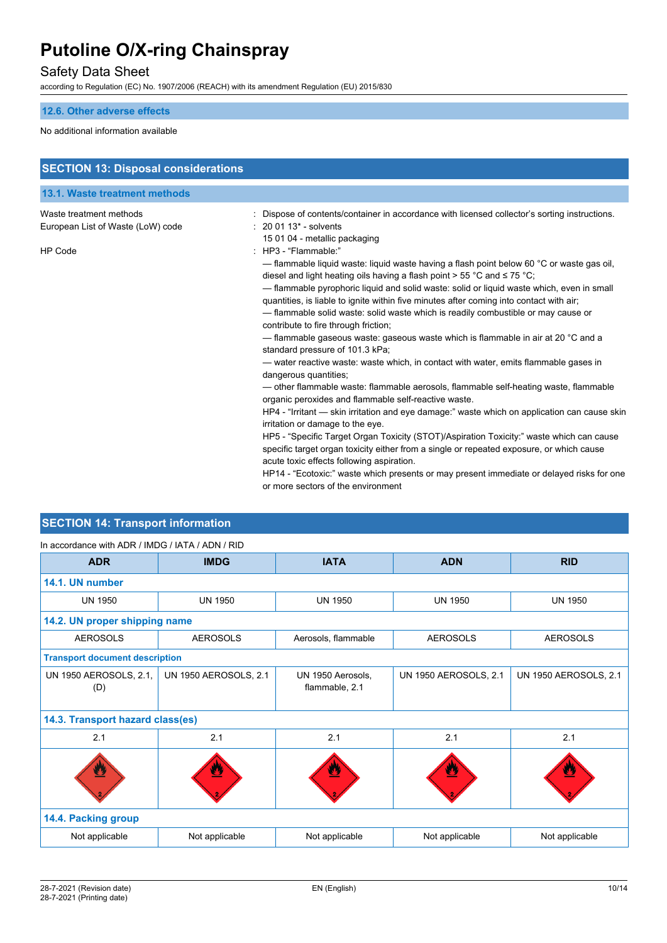## Safety Data Sheet

according to Regulation (EC) No. 1907/2006 (REACH) with its amendment Regulation (EU) 2015/830

### **12.6. Other adverse effects**

#### No additional information available

| <b>SECTION 13: Disposal considerations</b>                   |                                                                                                                                                                                                                                                                                                                                                                                                                                                                                                                                                                                                                                                       |
|--------------------------------------------------------------|-------------------------------------------------------------------------------------------------------------------------------------------------------------------------------------------------------------------------------------------------------------------------------------------------------------------------------------------------------------------------------------------------------------------------------------------------------------------------------------------------------------------------------------------------------------------------------------------------------------------------------------------------------|
| 13.1. Waste treatment methods                                |                                                                                                                                                                                                                                                                                                                                                                                                                                                                                                                                                                                                                                                       |
| Waste treatment methods<br>European List of Waste (LoW) code | Dispose of contents/container in accordance with licensed collector's sorting instructions.<br>$: 200113$ - solvents                                                                                                                                                                                                                                                                                                                                                                                                                                                                                                                                  |
| <b>HP Code</b>                                               | 15 01 04 - metallic packaging<br>: HP3 - "Flammable:"<br>— flammable liquid waste: liquid waste having a flash point below 60 $\degree$ C or waste gas oil,<br>diesel and light heating oils having a flash point > 55 °C and $\leq$ 75 °C;<br>- flammable pyrophoric liquid and solid waste: solid or liquid waste which, even in small<br>quantities, is liable to ignite within five minutes after coming into contact with air;<br>- flammable solid waste: solid waste which is readily combustible or may cause or<br>contribute to fire through friction;<br>— flammable gaseous waste: gaseous waste which is flammable in air at 20 °C and a |
|                                                              | standard pressure of 101.3 kPa;<br>— water reactive waste: waste which, in contact with water, emits flammable gases in<br>dangerous quantities;<br>- other flammable waste: flammable aerosols, flammable self-heating waste, flammable<br>organic peroxides and flammable self-reactive waste.<br>HP4 - "Irritant — skin irritation and eye damage:" waste which on application can cause skin<br>irritation or damage to the eye.<br>HP5 - "Specific Target Organ Toxicity (STOT)/Aspiration Toxicity:" waste which can cause                                                                                                                      |
|                                                              | specific target organ toxicity either from a single or repeated exposure, or which cause<br>acute toxic effects following aspiration.<br>HP14 - "Ecotoxic:" waste which presents or may present immediate or delayed risks for one<br>or more sectors of the environment                                                                                                                                                                                                                                                                                                                                                                              |

## **SECTION 14: Transport information**

| In accordance with ADR / IMDG / IATA / ADN / RID |  |  |  |
|--------------------------------------------------|--|--|--|
|                                                  |  |  |  |

| <b>ADR</b>                            | <b>IMDG</b>                  | <b>IATA</b>                         | <b>ADN</b>              | <b>RID</b>                   |
|---------------------------------------|------------------------------|-------------------------------------|-------------------------|------------------------------|
| 14.1. UN number                       |                              |                                     |                         |                              |
| <b>UN 1950</b>                        | <b>UN 1950</b>               | <b>UN 1950</b>                      | <b>UN 1950</b>          | <b>UN 1950</b>               |
| 14.2. UN proper shipping name         |                              |                                     |                         |                              |
| <b>AEROSOLS</b>                       | <b>AEROSOLS</b>              | Aerosols, flammable                 | <b>AEROSOLS</b>         | <b>AEROSOLS</b>              |
| <b>Transport document description</b> |                              |                                     |                         |                              |
| UN 1950 AEROSOLS, 2.1,<br>(D)         | <b>UN 1950 AEROSOLS, 2.1</b> | UN 1950 Aerosols,<br>flammable, 2.1 | UN 1950 AEROSOLS, 2.1   | <b>UN 1950 AEROSOLS, 2.1</b> |
| 14.3. Transport hazard class(es)      |                              |                                     |                         |                              |
| 2.1                                   | 2.1                          | 2.1                                 | 2.1                     | 2.1                          |
|                                       | $\mathbf{z}$                 |                                     | $\overline{\mathbf{a}}$ |                              |
| 14.4. Packing group                   |                              |                                     |                         |                              |
| Not applicable                        | Not applicable               | Not applicable                      | Not applicable          | Not applicable               |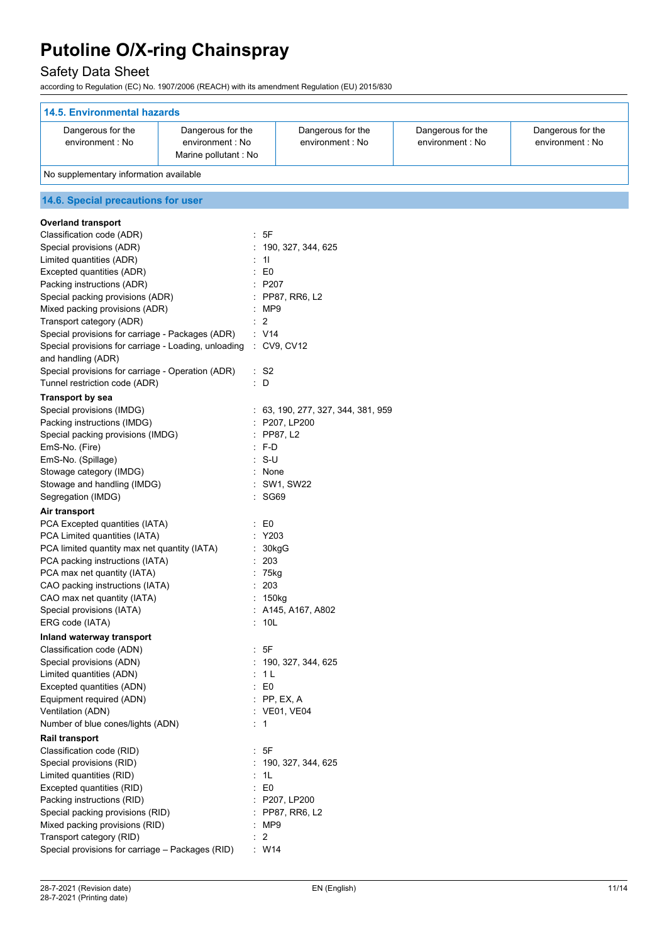## Safety Data Sheet

according to Regulation (EC) No. 1907/2006 (REACH) with its amendment Regulation (EU) 2015/830

| <b>14.5. Environmental hazards</b>                                                   |                        |                                    |                   |                   |  |  |
|--------------------------------------------------------------------------------------|------------------------|------------------------------------|-------------------|-------------------|--|--|
| Dangerous for the                                                                    | Dangerous for the      | Dangerous for the                  | Dangerous for the | Dangerous for the |  |  |
| environment : No<br>environment : No<br>Marine pollutant : No                        |                        | environment : No                   | environment : No  | environment : No  |  |  |
| No supplementary information available                                               |                        |                                    |                   |                   |  |  |
| 14.6. Special precautions for user                                                   |                        |                                    |                   |                   |  |  |
|                                                                                      |                        |                                    |                   |                   |  |  |
| <b>Overland transport</b>                                                            |                        |                                    |                   |                   |  |  |
| Classification code (ADR)                                                            | : 5F                   |                                    |                   |                   |  |  |
| Special provisions (ADR)                                                             |                        | : 190, 327, 344, 625               |                   |                   |  |  |
| Limited quantities (ADR)                                                             | : 11                   |                                    |                   |                   |  |  |
| Excepted quantities (ADR)                                                            | $\pm 50$<br>: P207     |                                    |                   |                   |  |  |
| Packing instructions (ADR)<br>Special packing provisions (ADR)                       |                        | : PP87, RR6, L2                    |                   |                   |  |  |
| Mixed packing provisions (ADR)                                                       | : MP9                  |                                    |                   |                   |  |  |
| Transport category (ADR)                                                             | $\overline{2}$         |                                    |                   |                   |  |  |
| Special provisions for carriage - Packages (ADR)                                     | : V14                  |                                    |                   |                   |  |  |
| Special provisions for carriage - Loading, unloading                                 |                        | $\therefore$ CV9, CV12             |                   |                   |  |  |
| and handling (ADR)                                                                   |                        |                                    |                   |                   |  |  |
| Special provisions for carriage - Operation (ADR)                                    | : S2                   |                                    |                   |                   |  |  |
| Tunnel restriction code (ADR)                                                        | : D                    |                                    |                   |                   |  |  |
| <b>Transport by sea</b>                                                              |                        |                                    |                   |                   |  |  |
| Special provisions (IMDG)                                                            |                        | : 63, 190, 277, 327, 344, 381, 959 |                   |                   |  |  |
| Packing instructions (IMDG)                                                          |                        | : P207, LP200                      |                   |                   |  |  |
| Special packing provisions (IMDG)                                                    | $:$ PP87, L2           |                                    |                   |                   |  |  |
| EmS-No. (Fire)                                                                       | : F-D                  |                                    |                   |                   |  |  |
| EmS-No. (Spillage)                                                                   | $: S-U$                |                                    |                   |                   |  |  |
| Stowage category (IMDG)<br>: None                                                    |                        |                                    |                   |                   |  |  |
| Stowage and handling (IMDG)                                                          |                        | : SW1, SW22                        |                   |                   |  |  |
| Segregation (IMDG)                                                                   | : SG69                 |                                    |                   |                   |  |  |
| Air transport                                                                        |                        |                                    |                   |                   |  |  |
| PCA Excepted quantities (IATA)<br>PCA Limited quantities (IATA)                      | : E0<br>: Y203         |                                    |                   |                   |  |  |
| PCA limited quantity max net quantity (IATA)                                         |                        |                                    |                   |                   |  |  |
| PCA packing instructions (IATA)                                                      | 203                    | 30kgG                              |                   |                   |  |  |
| PCA max net quantity (IATA)                                                          | $: 75$ kg              |                                    |                   |                   |  |  |
| CAO packing instructions (IATA)                                                      |                        | : 203                              |                   |                   |  |  |
| CAO max net quantity (IATA)                                                          | : 150kg                |                                    |                   |                   |  |  |
| Special provisions (IATA)                                                            |                        | : A145, A167, A802                 |                   |                   |  |  |
| ERG code (IATA)                                                                      | : 10L                  |                                    |                   |                   |  |  |
| Inland waterway transport                                                            |                        |                                    |                   |                   |  |  |
| Classification code (ADN)                                                            | : 5F                   |                                    |                   |                   |  |  |
| Special provisions (ADN)                                                             |                        | : 190, 327, 344, 625               |                   |                   |  |  |
| Limited quantities (ADN)                                                             | : 1 L                  |                                    |                   |                   |  |  |
| Excepted quantities (ADN)                                                            | E <sub>0</sub>         |                                    |                   |                   |  |  |
| Equipment required (ADN)                                                             | $\therefore$ PP, EX, A |                                    |                   |                   |  |  |
| Ventilation (ADN)                                                                    |                        | : VE01, VE04                       |                   |                   |  |  |
| Number of blue cones/lights (ADN)                                                    | $\therefore$ 1         |                                    |                   |                   |  |  |
| Rail transport                                                                       |                        |                                    |                   |                   |  |  |
| Classification code (RID)                                                            | : 5F                   |                                    |                   |                   |  |  |
| Special provisions (RID)<br>: 190, 327, 344, 625<br>Limited quantities (RID)<br>: 1L |                        |                                    |                   |                   |  |  |
| Excepted quantities (RID)                                                            | $\colon$ E0            |                                    |                   |                   |  |  |
| Packing instructions (RID)<br>: P207, LP200                                          |                        |                                    |                   |                   |  |  |
| Special packing provisions (RID)                                                     |                        | : PP87, RR6, L2                    |                   |                   |  |  |
| Mixed packing provisions (RID)<br>: MP9                                              |                        |                                    |                   |                   |  |  |
| Transport category (RID)                                                             | $\therefore$ 2         |                                    |                   |                   |  |  |
| Special provisions for carriage - Packages (RID)                                     | W14                    |                                    |                   |                   |  |  |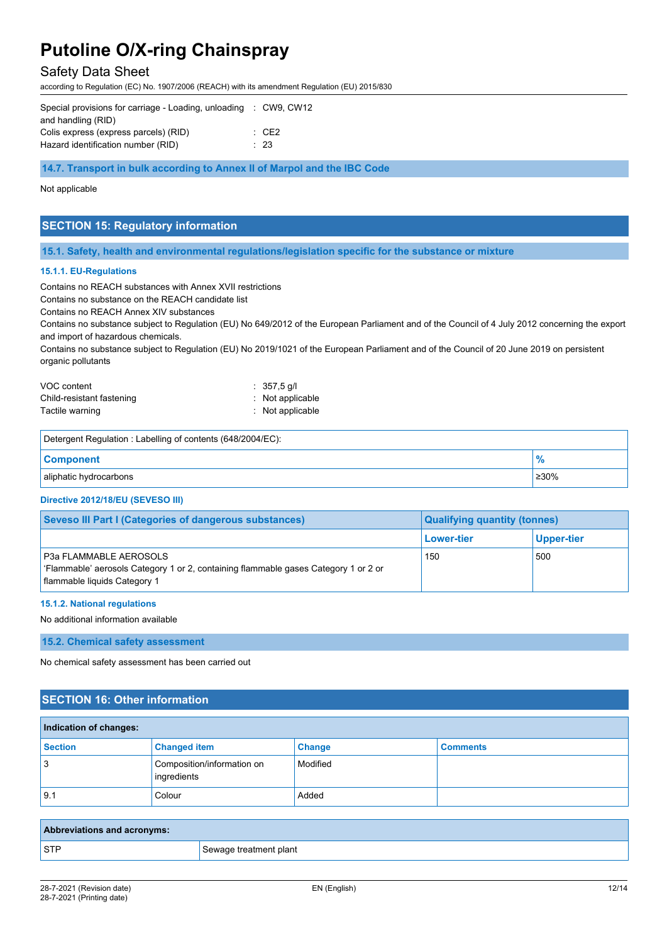## Safety Data Sheet

according to Regulation (EC) No. 1907/2006 (REACH) with its amendment Regulation (EU) 2015/830

| Special provisions for carriage - Loading, unloading : CW9, CW12 |             |
|------------------------------------------------------------------|-------------|
| and handling (RID)                                               |             |
| Colis express (express parcels) (RID)                            | $\cdot$ CF2 |
| Hazard identification number (RID)                               | $\div$ 23   |

**14.7. Transport in bulk according to Annex II of Marpol and the IBC Code**

#### Not applicable

## **SECTION 15: Regulatory information**

**15.1. Safety, health and environmental regulations/legislation specific for the substance or mixture**

#### **15.1.1. EU-Regulations**

Contains no REACH substances with Annex XVII restrictions

Contains no substance on the REACH candidate list

Contains no REACH Annex XIV substances

Contains no substance subject to Regulation (EU) No 649/2012 of the European Parliament and of the Council of 4 July 2012 concerning the export and import of hazardous chemicals.

Contains no substance subject to Regulation (EU) No 2019/1021 of the European Parliament and of the Council of 20 June 2019 on persistent organic pollutants

| VOC content               | $: 357.5$ g/l               |
|---------------------------|-----------------------------|
| Child-resistant fastening | $\therefore$ Not applicable |
| Tactile warning           | : Not applicable            |

| Detergent Regulation: Labelling of contents (648/2004/EC): |      |
|------------------------------------------------------------|------|
| <b>Component</b>                                           |      |
| aliphatic hydrocarbons                                     | ≥30% |

#### **Directive 2012/18/EU (SEVESO III)**

| <b>Seveso III Part I (Categories of dangerous substances)</b><br><b>Qualifying quantity (tonnes)</b>                                          |            |            |  |
|-----------------------------------------------------------------------------------------------------------------------------------------------|------------|------------|--|
|                                                                                                                                               | Lower-tier | Upper-tier |  |
| P3a FLAMMABLE AEROSOLS<br>'Flammable' aerosols Category 1 or 2, containing flammable gases Category 1 or 2 or<br>flammable liquids Category 1 | 150        | 500        |  |

#### **15.1.2. National regulations**

No additional information available

#### **15.2. Chemical safety assessment**

No chemical safety assessment has been carried out

### **SECTION 16: Other information**

| Indication of changes: |                                           |               |                 |
|------------------------|-------------------------------------------|---------------|-----------------|
| <b>Section</b>         | <b>Changed item</b>                       | <b>Change</b> | <b>Comments</b> |
| 3                      | Composition/information on<br>ingredients | Modified      |                 |
| 9.1                    | Colour                                    | Added         |                 |

| Abbreviations and acronyms: |                        |
|-----------------------------|------------------------|
| STF                         | Sewage treatment plant |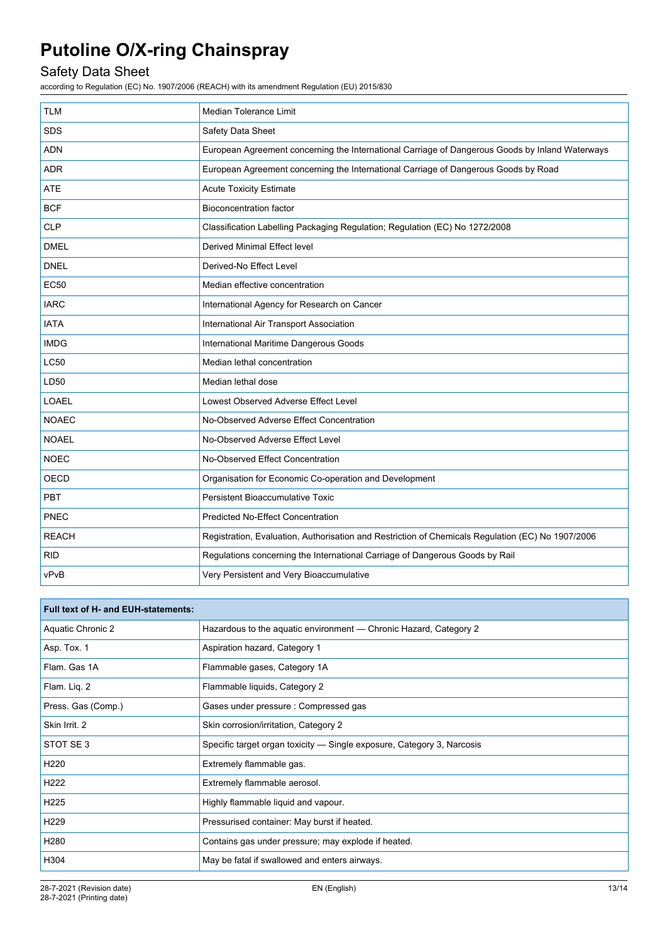## Safety Data Sheet

according to Regulation (EC) No. 1907/2006 (REACH) with its amendment Regulation (EU) 2015/830

| <b>TLM</b>   | <b>Median Tolerance Limit</b>                                                                     |
|--------------|---------------------------------------------------------------------------------------------------|
| <b>SDS</b>   | Safety Data Sheet                                                                                 |
| <b>ADN</b>   | European Agreement concerning the International Carriage of Dangerous Goods by Inland Waterways   |
| <b>ADR</b>   | European Agreement concerning the International Carriage of Dangerous Goods by Road               |
| <b>ATE</b>   | <b>Acute Toxicity Estimate</b>                                                                    |
| <b>BCF</b>   | <b>Bioconcentration factor</b>                                                                    |
| <b>CLP</b>   | Classification Labelling Packaging Regulation; Regulation (EC) No 1272/2008                       |
| <b>DMEL</b>  | Derived Minimal Effect level                                                                      |
| <b>DNEL</b>  | Derived-No Effect Level                                                                           |
| <b>EC50</b>  | Median effective concentration                                                                    |
| <b>IARC</b>  | International Agency for Research on Cancer                                                       |
| <b>IATA</b>  | International Air Transport Association                                                           |
| <b>IMDG</b>  | International Maritime Dangerous Goods                                                            |
| LC50         | Median lethal concentration                                                                       |
| LD50         | Median lethal dose                                                                                |
| <b>LOAEL</b> | Lowest Observed Adverse Effect Level                                                              |
| <b>NOAEC</b> | No-Observed Adverse Effect Concentration                                                          |
| <b>NOAEL</b> | No-Observed Adverse Effect Level                                                                  |
| <b>NOEC</b>  | No-Observed Effect Concentration                                                                  |
| <b>OECD</b>  | Organisation for Economic Co-operation and Development                                            |
| <b>PBT</b>   | <b>Persistent Bioaccumulative Toxic</b>                                                           |
| PNEC         | Predicted No-Effect Concentration                                                                 |
| <b>REACH</b> | Registration, Evaluation, Authorisation and Restriction of Chemicals Regulation (EC) No 1907/2006 |
| <b>RID</b>   | Regulations concerning the International Carriage of Dangerous Goods by Rail                      |
| vPvB         | Very Persistent and Very Bioaccumulative                                                          |

| Full text of H- and EUH-statements: |                                                                        |
|-------------------------------------|------------------------------------------------------------------------|
| Aquatic Chronic 2                   | Hazardous to the aquatic environment - Chronic Hazard, Category 2      |
| Asp. Tox. 1                         | Aspiration hazard, Category 1                                          |
| Flam. Gas 1A                        | Flammable gases, Category 1A                                           |
| Flam. Liq. 2                        | Flammable liquids, Category 2                                          |
| Press. Gas (Comp.)                  | Gases under pressure : Compressed gas                                  |
| Skin Irrit. 2                       | Skin corrosion/irritation, Category 2                                  |
| STOT SE3                            | Specific target organ toxicity — Single exposure, Category 3, Narcosis |
| H <sub>220</sub>                    | Extremely flammable gas.                                               |
| H <sub>222</sub>                    | Extremely flammable aerosol.                                           |
| H <sub>225</sub>                    | Highly flammable liquid and vapour.                                    |
| H <sub>229</sub>                    | Pressurised container: May burst if heated.                            |
| H <sub>280</sub>                    | Contains gas under pressure; may explode if heated.                    |
| H304                                | May be fatal if swallowed and enters airways.                          |